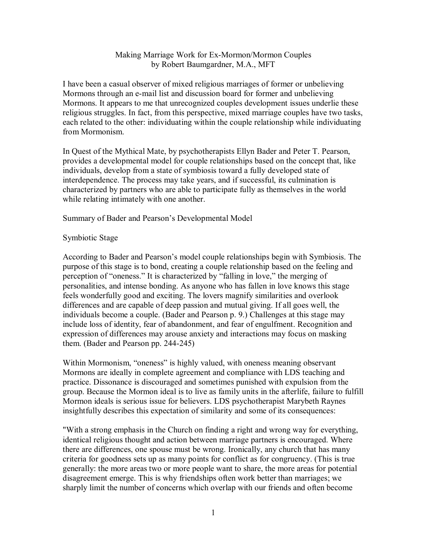## Making Marriage Work for Ex-Mormon/Mormon Couples by Robert Baumgardner, M.A., MFT

I have been a casual observer of mixed religious marriages of former or unbelieving Mormons through an e-mail list and discussion board for former and unbelieving Mormons. It appears to me that unrecognized couples development issues underlie these religious struggles. In fact, from this perspective, mixed marriage couples have two tasks, each related to the other: individuating within the couple relationship while individuating from Mormonism.

In Quest of the Mythical Mate, by psychotherapists Ellyn Bader and Peter T. Pearson, provides a developmental model for couple relationships based on the concept that, like individuals, develop from a state of symbiosis toward a fully developed state of interdependence. The process may take years, and if successful, its culmination is characterized by partners who are able to participate fully as themselves in the world while relating intimately with one another.

Summary of Bader and Pearson's Developmental Model

#### Symbiotic Stage

According to Bader and Pearson's model couple relationships begin with Symbiosis. The purpose of this stage is to bond, creating a couple relationship based on the feeling and perception of "oneness." It is characterized by "falling in love," the merging of personalities, and intense bonding. As anyone who has fallen in love knows this stage feels wonderfully good and exciting. The lovers magnify similarities and overlook differences and are capable of deep passion and mutual giving. If all goes well, the individuals become a couple. (Bader and Pearson p. 9.) Challenges at this stage may include loss of identity, fear of abandonment, and fear of engulfment. Recognition and expression of differences may arouse anxiety and interactions may focus on masking them. (Bader and Pearson pp. 244-245)

Within Mormonism, "oneness" is highly valued, with oneness meaning observant Mormons are ideally in complete agreement and compliance with LDS teaching and practice. Dissonance is discouraged and sometimes punished with expulsion from the group. Because the Mormon ideal is to live as family units in the afterlife, failure to fulfill Mormon ideals is serious issue for believers. LDS psychotherapist Marybeth Raynes insightfully describes this expectation of similarity and some of its consequences:

"With a strong emphasis in the Church on finding a right and wrong way for everything, identical religious thought and action between marriage partners is encouraged. Where there are differences, one spouse must be wrong. Ironically, any church that has many criteria for goodness sets up as many points for conflict as for congruency. (This is true generally: the more areas two or more people want to share, the more areas for potential disagreement emerge. This is why friendships often work better than marriages; we sharply limit the number of concerns which overlap with our friends and often become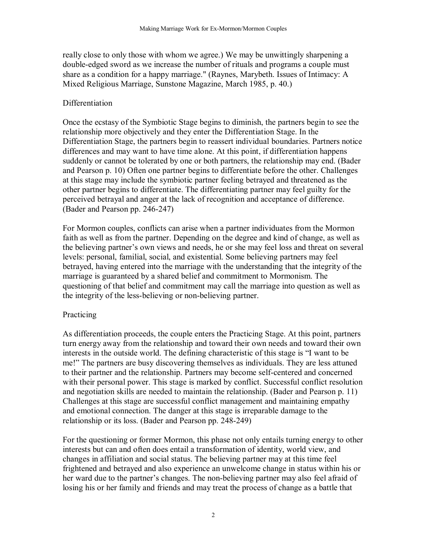really close to only those with whom we agree.) We may be unwittingly sharpening a double-edged sword as we increase the number of rituals and programs a couple must share as a condition for a happy marriage." (Raynes, Marybeth. Issues of Intimacy: A Mixed Religious Marriage, Sunstone Magazine, March 1985, p. 40.)

#### Differentiation

Once the ecstasy of the Symbiotic Stage begins to diminish, the partners begin to see the relationship more objectively and they enter the Differentiation Stage. In the Differentiation Stage, the partners begin to reassert individual boundaries. Partners notice differences and may want to have time alone. At this point, if differentiation happens suddenly or cannot be tolerated by one or both partners, the relationship may end. (Bader and Pearson p. 10) Often one partner begins to differentiate before the other. Challenges at this stage may include the symbiotic partner feeling betrayed and threatened as the other partner begins to differentiate. The differentiating partner may feel guilty for the perceived betrayal and anger at the lack of recognition and acceptance of difference. (Bader and Pearson pp. 246-247)

For Mormon couples, conflicts can arise when a partner individuates from the Mormon faith as well as from the partner. Depending on the degree and kind of change, as well as the believing partner's own views and needs, he or she may feel loss and threat on several levels: personal, familial, social, and existential. Some believing partners may feel betrayed, having entered into the marriage with the understanding that the integrity of the marriage is guaranteed by a shared belief and commitment to Mormonism. The questioning of that belief and commitment may call the marriage into question as well as the integrity of the less-believing or non-believing partner.

# **Practicing**

As differentiation proceeds, the couple enters the Practicing Stage. At this point, partners turn energy away from the relationship and toward their own needs and toward their own interests in the outside world. The defining characteristic of this stage is "I want to be me!" The partners are busy discovering themselves as individuals. They are less attuned to their partner and the relationship. Partners may become self-centered and concerned with their personal power. This stage is marked by conflict. Successful conflict resolution and negotiation skills are needed to maintain the relationship. (Bader and Pearson p. 11) Challenges at this stage are successful conflict management and maintaining empathy and emotional connection. The danger at this stage is irreparable damage to the relationship or its loss. (Bader and Pearson pp. 248-249)

For the questioning or former Mormon, this phase not only entails turning energy to other interests but can and often does entail a transformation of identity, world view, and changes in affiliation and social status. The believing partner may at this time feel frightened and betrayed and also experience an unwelcome change in status within his or her ward due to the partner's changes. The non-believing partner may also feel afraid of losing his or her family and friends and may treat the process of change as a battle that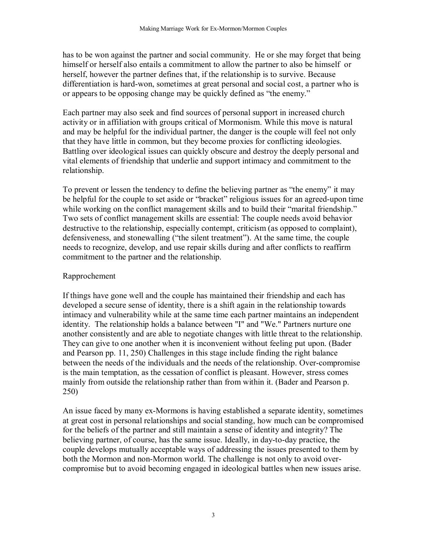has to be won against the partner and social community. He or she may forget that being himself or herself also entails a commitment to allow the partner to also be himself or herself, however the partner defines that, if the relationship is to survive. Because differentiation is hard-won, sometimes at great personal and social cost, a partner who is or appears to be opposing change may be quickly defined as "the enemy."

Each partner may also seek and find sources of personal support in increased church activity or in affiliation with groups critical of Mormonism. While this move is natural and may be helpful for the individual partner, the danger is the couple will feel not only that they have little in common, but they become proxies for conflicting ideologies. Battling over ideological issues can quickly obscure and destroy the deeply personal and vital elements of friendship that underlie and support intimacy and commitment to the relationship.

To prevent or lessen the tendency to define the believing partner as "the enemy" it may be helpful for the couple to set aside or "bracket" religious issues for an agreed-upon time while working on the conflict management skills and to build their "marital friendship." Two sets of conflict management skills are essential: The couple needs avoid behavior destructive to the relationship, especially contempt, criticism (as opposed to complaint), defensiveness, and stonewalling ("the silent treatment"). At the same time, the couple needs to recognize, develop, and use repair skills during and after conflicts to reaffirm commitment to the partner and the relationship.

#### Rapprochement

If things have gone well and the couple has maintained their friendship and each has developed a secure sense of identity, there is a shift again in the relationship towards intimacy and vulnerability while at the same time each partner maintains an independent identity. The relationship holds a balance between "I" and "We." Partners nurture one another consistently and are able to negotiate changes with little threat to the relationship. They can give to one another when it is inconvenient without feeling put upon. (Bader and Pearson pp. 11, 250) Challenges in this stage include finding the right balance between the needs of the individuals and the needs of the relationship. Over-compromise is the main temptation, as the cessation of conflict is pleasant. However, stress comes mainly from outside the relationship rather than from within it. (Bader and Pearson p. 250)

An issue faced by many ex-Mormons is having established a separate identity, sometimes at great cost in personal relationships and social standing, how much can be compromised for the beliefs of the partner and still maintain a sense of identity and integrity? The believing partner, of course, has the same issue. Ideally, in day-to-day practice, the couple develops mutually acceptable ways of addressing the issues presented to them by both the Mormon and non-Mormon world. The challenge is not only to avoid overcompromise but to avoid becoming engaged in ideological battles when new issues arise.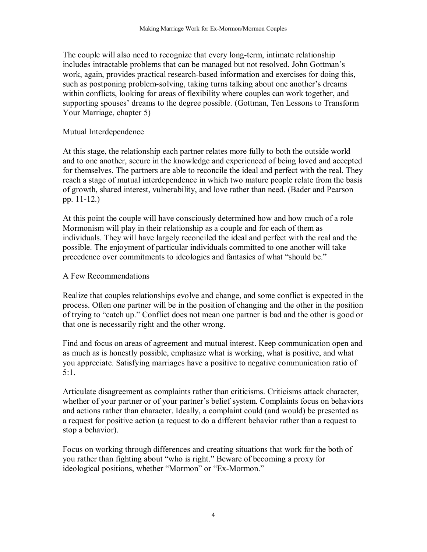The couple will also need to recognize that every long-term, intimate relationship includes intractable problems that can be managed but not resolved. John Gottman's work, again, provides practical research-based information and exercises for doing this, such as postponing problem-solving, taking turns talking about one another's dreams within conflicts, looking for areas of flexibility where couples can work together, and supporting spouses' dreams to the degree possible. (Gottman, Ten Lessons to Transform Your Marriage, chapter 5)

#### Mutual Interdependence

At this stage, the relationship each partner relates more fully to both the outside world and to one another, secure in the knowledge and experienced of being loved and accepted for themselves. The partners are able to reconcile the ideal and perfect with the real. They reach a stage of mutual interdependence in which two mature people relate from the basis of growth, shared interest, vulnerability, and love rather than need. (Bader and Pearson pp. 11-12.)

At this point the couple will have consciously determined how and how much of a role Mormonism will play in their relationship as a couple and for each of them as individuals. They will have largely reconciled the ideal and perfect with the real and the possible. The enjoyment of particular individuals committed to one another will take precedence over commitments to ideologies and fantasies of what "should be."

#### A Few Recommendations

Realize that couples relationships evolve and change, and some conflict is expected in the process. Often one partner will be in the position of changing and the other in the position of trying to "catch up." Conflict does not mean one partner is bad and the other is good or that one is necessarily right and the other wrong.

Find and focus on areas of agreement and mutual interest. Keep communication open and as much as is honestly possible, emphasize what is working, what is positive, and what you appreciate. Satisfying marriages have a positive to negative communication ratio of  $5:1$ .

Articulate disagreement as complaints rather than criticisms. Criticisms attack character, whether of your partner or of your partner's belief system. Complaints focus on behaviors and actions rather than character. Ideally, a complaint could (and would) be presented as a request for positive action (a request to do a different behavior rather than a request to stop a behavior).

Focus on working through differences and creating situations that work for the both of you rather than fighting about "who is right." Beware of becoming a proxy for ideological positions, whether "Mormon" or "Ex-Mormon."